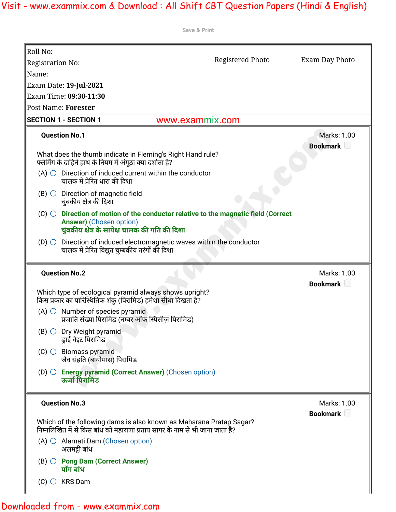| Save & Print                                                                                                                                        |                  |                       |
|-----------------------------------------------------------------------------------------------------------------------------------------------------|------------------|-----------------------|
| Roll No:                                                                                                                                            |                  |                       |
| <b>Registration No:</b>                                                                                                                             | Registered Photo | Exam Day Photo        |
| Name:                                                                                                                                               |                  |                       |
| Exam Date: 19-Jul-2021                                                                                                                              |                  |                       |
| Exam Time: 09:30-11:30                                                                                                                              |                  |                       |
| Post Name: Forester                                                                                                                                 |                  |                       |
| <b>SECTION 1 - SECTION 1</b><br>www.exammix.com                                                                                                     |                  |                       |
| <b>Question No.1</b>                                                                                                                                |                  | Marks: 1.00           |
|                                                                                                                                                     |                  | Bookmark <b>Legen</b> |
| What does the thumb indicate in Fleming's Right Hand rule?<br>फ्लेमिंग के दाहिने हाथ के नियम में अंगूठा क्या दर्शाता है?                            |                  |                       |
| (A) $\bigcirc$ Direction of induced current within the conductor                                                                                    |                  |                       |
| चालक में प्रेरित धारा की दिशा                                                                                                                       |                  |                       |
| $(B)$ $\bigcirc$ Direction of magnetic field                                                                                                        |                  |                       |
| चुंबकीय क्षेत्र की दिशा                                                                                                                             |                  |                       |
| $(C)$ $\bigcirc$ Direction of motion of the conductor relative to the magnetic field (Correct                                                       |                  |                       |
| <b>Answer)</b> (Chosen option)<br>चुंबकीय क्षेत्र के सापेक्ष चालक की गति की दिशा                                                                    |                  |                       |
| Direction of induced electromagnetic waves within the conductor<br>$(D)$ $\bigcirc$<br>चालक में प्रेरित विद्युत चुम्बकीय तरंगों की दिशा             |                  |                       |
| <b>Question No.2</b>                                                                                                                                |                  | Marks: 1.00           |
|                                                                                                                                                     |                  | Bookmark L            |
| Which type of ecological pyramid always shows upright?<br>किस प्रकार का पारिस्थितिक शंकु (पिरामिड) हमेशा सीधा दिखता है?                             |                  |                       |
| $(A)$ $\bigcirc$ Number of species pyramid                                                                                                          |                  |                       |
| प्रजाति संख्या पिरामिड (नम्बर ऑफ स्पिसीज़ पिरामिड)                                                                                                  |                  |                       |
| $(B)$ $\bigcirc$ Dry Weight pyramid<br>ड्राई वेइट पिरामिड                                                                                           |                  |                       |
| $(C)$ Biomass pyramid                                                                                                                               |                  |                       |
| जैव संहति (बायोमास) पिरामिड                                                                                                                         |                  |                       |
| $(D)$ $\bigcirc$ Energy pyramid (Correct Answer) (Chosen option)<br>ऊर्जा पिरामिड                                                                   |                  |                       |
| <b>Question No.3</b>                                                                                                                                |                  | Marks: 1.00           |
|                                                                                                                                                     |                  | Bookmark D            |
| Which of the following dams is also known as Maharana Pratap Sagar?<br>निम्नलिखित में से किस बांध को महाराणा प्रताप सागर के नाम से भी जाना जाता है? |                  |                       |
| $(A)$ $\bigcirc$ Alamati Dam (Chosen option)<br>अलमट्टी बांध                                                                                        |                  |                       |
| $(B)$ $\bigcirc$ Pong Dam (Correct Answer)<br>पोंग बांध                                                                                             |                  |                       |
|                                                                                                                                                     |                  |                       |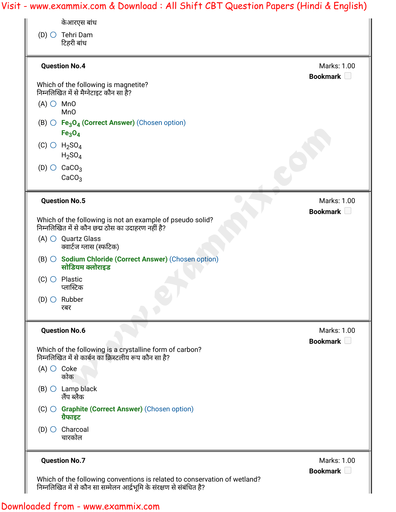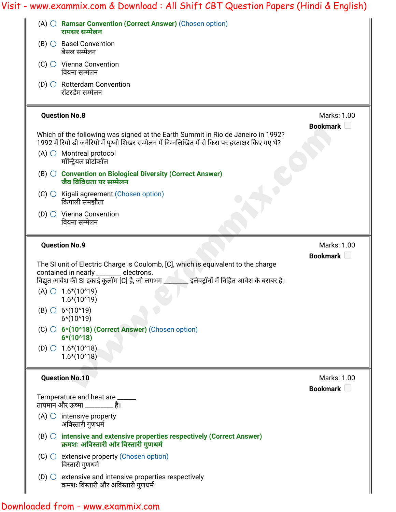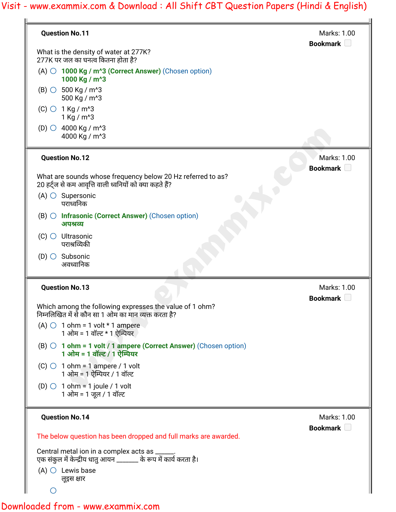| <b>Question No.11</b>                                                                                                         | Marks: 1.00<br>Bookmark D        |
|-------------------------------------------------------------------------------------------------------------------------------|----------------------------------|
| What is the density of water at 277K?<br>277K पर जल का घनत्व कितना होता है?                                                   |                                  |
| $(A)$ $\bigcirc$ 1000 Kg / m <sup><math>\lambda</math></sup> 3 (Correct Answer) (Chosen option)<br>1000 Kg / m <sup>^</sup> 3 |                                  |
| $(B)$ $\circ$ 500 Kg / m <sup>3</sup><br>500 Kg / m <sup>^</sup> 3                                                            |                                  |
| $(C)$ 0 1 Kg / m <sup>3</sup><br>1 Kg / m <sup>^</sup> 3                                                                      |                                  |
| (D) $\circ$ 4000 Kg / m <sup>3</sup><br>4000 Kg / m <sup>^</sup> 3                                                            |                                  |
| <b>Question No.12</b>                                                                                                         | Marks: 1.00<br>Bookmark <b>D</b> |
| What are sounds whose frequency below 20 Hz referred to as?<br>20 हर्ट्ज से कम आवृत्ति वाली ध्वनियों को क्या कहते हैं?        |                                  |
| $(A)$ $\bigcirc$ Supersonic<br>पराध्वनिक                                                                                      |                                  |
| $(B)$ O Infrasonic (Correct Answer) (Chosen option)<br>अपश्रव्य                                                               |                                  |
| $(C)$ $\bigcirc$ Ultrasonic<br>पराश्रव्यिकी                                                                                   |                                  |
| $(D)$ $\bigcirc$ Subsonic<br>अवध्वानिक                                                                                        |                                  |
| <b>Question No.13</b>                                                                                                         | Marks: 1.00<br><b>Bookmark</b>   |
| Which among the following expresses the value of 1 ohm?<br>निम्नलिखित में से कौन सा 1 ओम का मान व्यक्त करता है?               |                                  |
| (A) $\bigcirc$ 1 ohm = 1 volt * 1 ampere<br>1 ओम = 1 वॉल्ट * 1 ऐम्पियर                                                        |                                  |
| $(B)$ $\bigcirc$ 1 ohm = 1 volt / 1 ampere (Correct Answer) (Chosen option)<br>1 ओम = 1 वॉल्ट / 1 ऐम्पियर                     |                                  |
| $(C)$ 1 ohm = 1 ampere / 1 volt<br>1 ओम = 1 ऐम्पियर / 1 वॉल्ट                                                                 |                                  |
| (D) $\bigcirc$ 1 ohm = 1 joule / 1 volt<br>1 ओम = 1 जूल / 1 वॉल्ट                                                             |                                  |
| <b>Question No.14</b>                                                                                                         | Marks: 1.00<br>Bookmark D        |
| The below question has been dropped and full marks are awarded.                                                               |                                  |
| Central metal ion in a complex acts as _____<br>एक संकुल में केन्द्रीय धातु आयन _______ के रूप में कार्य करता है।             |                                  |
| $(A)$ $\bigcirc$ Lewis base<br>लूइस क्षार                                                                                     |                                  |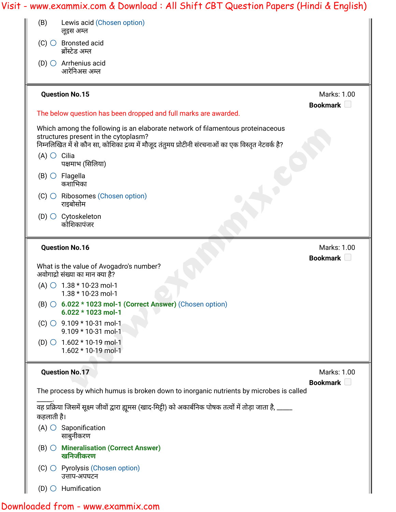| Lewis acid (Chosen option)<br>(B)<br>लूइस अम्ल                                                                                                                                                                                 |                                  |
|--------------------------------------------------------------------------------------------------------------------------------------------------------------------------------------------------------------------------------|----------------------------------|
| $(C)$ $\bigcirc$ Bronsted acid<br>ब्रोंस्टेड अम्ल                                                                                                                                                                              |                                  |
| (D) $\bigcirc$ Arrhenius acid<br>आरेनिअस अम्ल                                                                                                                                                                                  |                                  |
| <b>Question No.15</b>                                                                                                                                                                                                          | Marks: 1.00<br>Bookmark <b>D</b> |
| The below question has been dropped and full marks are awarded.                                                                                                                                                                |                                  |
| Which among the following is an elaborate network of filamentous proteinaceous<br>structures present in the cytoplasm?<br>निम्नलिखित में से कौन सा, कोशिका द्रव्य में मौजूद तंतुमय प्रोटीनी संरचनाओं का एक विस्तृत नेटवर्क है? |                                  |
| $(A)$ $\bigcirc$ Cilia<br>पक्षमाभ (सिलिया)                                                                                                                                                                                     |                                  |
| $(B)$ $\bigcirc$ Flagella<br>कशाभिका                                                                                                                                                                                           |                                  |
| $(C)$ $\bigcirc$ Ribosomes (Chosen option)<br>राइबोसोम                                                                                                                                                                         |                                  |
| $(D)$ Cytoskeleton<br>कोशिकापंजर                                                                                                                                                                                               |                                  |
| <b>Question No.16</b>                                                                                                                                                                                                          | Marks: 1.00<br>Bookmark <b>D</b> |
| What is the value of Avogadro's number?<br>अवोगाद्रो संख्या का मान क्या है?                                                                                                                                                    |                                  |
| (A) $\circ$ 1.38 $*$ 10-23 mol-1<br>1.38 * 10-23 mol-1                                                                                                                                                                         |                                  |
| $(B)$ $\circ$ 6.022 $*$ 1023 mol-1 (Correct Answer) (Chosen option)<br>6.022 * 1023 mol-1                                                                                                                                      |                                  |
|                                                                                                                                                                                                                                |                                  |
| $(C)$ $\circ$ 9.109 * 10-31 mol-1<br>9.109 * 10-31 mol-1                                                                                                                                                                       |                                  |
| (D) $\bigcirc$ 1.602 * 10-19 mol-1<br>1.602 * 10-19 mol-1                                                                                                                                                                      |                                  |
| <b>Question No.17</b>                                                                                                                                                                                                          | Marks: 1.00                      |
| The process by which humus is broken down to inorganic nutrients by microbes is called                                                                                                                                         | Bookmark L                       |
| वह प्रक्रिया जिसमें सूक्ष्म जीवों द्वारा ह्यूमस (खाद-मिट्टी) को अकार्बनिक पोषक तत्वों में तोड़ा जाता है, _____<br>कहलाती है।                                                                                                   |                                  |
| $(A)$ $\bigcirc$ Saponification<br>साबुनीकरण                                                                                                                                                                                   |                                  |
| $(B)$ $\bigcirc$ Mineralisation (Correct Answer)<br>खनिजीकरण                                                                                                                                                                   |                                  |
| $(C)$ $\bigcirc$ Pyrolysis (Chosen option)<br>उत्ताप-अपघटन                                                                                                                                                                     |                                  |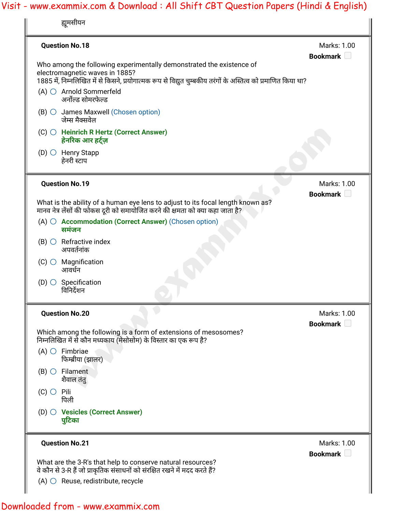| <b>Question No.18</b>                                                                                                                                                                                                    | Marks: 1.00<br>Bookmark $\Box$ |
|--------------------------------------------------------------------------------------------------------------------------------------------------------------------------------------------------------------------------|--------------------------------|
| Who among the following experimentally demonstrated the existence of<br>electromagnetic waves in 1885?<br>1885 में, निम्नलिखित में से किसने, प्रयोगात्मक रूप से विद्युत चुम्बकीय तरंगों के अस्तित्व को प्रमाणित किया था? |                                |
| $(A)$ $\bigcirc$ Arnold Sommerfeld<br>अर्नोल्ड सोमरफेल्ड                                                                                                                                                                 |                                |
| $(B)$ $\circ$ James Maxwell (Chosen option)<br>जेम्स मैक्सवेल                                                                                                                                                            |                                |
| $(C)$ $\bigcirc$ Heinrich R Hertz (Correct Answer)<br>हेनरिक आर हर्ट्ज़                                                                                                                                                  |                                |
| $(D)$ $\bigcirc$ Henry Stapp<br>हेनरी स्टाप                                                                                                                                                                              |                                |
| <b>Question No.19</b>                                                                                                                                                                                                    | Marks: 1.00<br>Bookmark D      |
| What is the ability of a human eye lens to adjust to its focal length known as?<br>मानव नेत्र लेंसों की फोकस दूरी को समायोजित करने की क्षमता को क्या कहा जाता है?                                                        |                                |
| $(A)$ $\bigcirc$ Accommodation (Correct Answer) (Chosen option)<br>समंजन                                                                                                                                                 |                                |
| $(B)$ $\bigcirc$ Refractive index<br>अपवर्तनांक                                                                                                                                                                          |                                |
| $(C)$ Magnification<br>आवर्धन                                                                                                                                                                                            |                                |
| $(D)$ Specification<br>विनिर्देशन                                                                                                                                                                                        |                                |
| <b>Question No.20</b>                                                                                                                                                                                                    | Marks: 1.00<br>Bookmark U      |
| Which among the following is a form of extensions of mesosomes?<br>निम्नलिखित में से कौन मध्यकाय (मेसोसोम) के विस्तार का एक रूप है?                                                                                      |                                |
| $(A)$ $\bigcirc$ Fimbriae<br>फिम्ब्रीया (झालर)                                                                                                                                                                           |                                |
| $(B)$ $\bigcirc$ Filament<br>शैवाल तंतु                                                                                                                                                                                  |                                |
| $(C)$ $\bigcirc$ Pili<br>पिली                                                                                                                                                                                            |                                |
| (D) O Vesicles (Correct Answer)<br>पुटिका                                                                                                                                                                                |                                |
| <b>Question No.21</b>                                                                                                                                                                                                    | Marks: 1.00<br>Bookmark U      |
| What are the 3-R's that help to conserve natural resources?<br>वे कौन से 3-R हैं जो प्राकृतिक संसाधनों को संरक्षित रखने में मदद करते हैं?                                                                                |                                |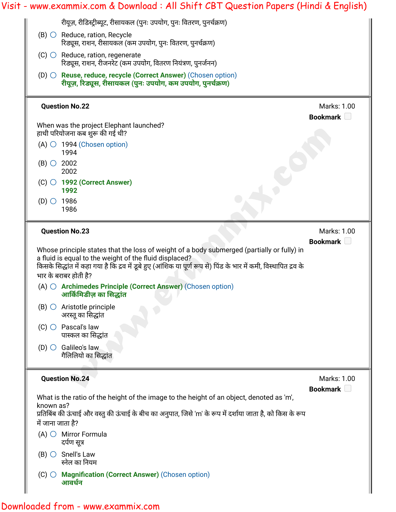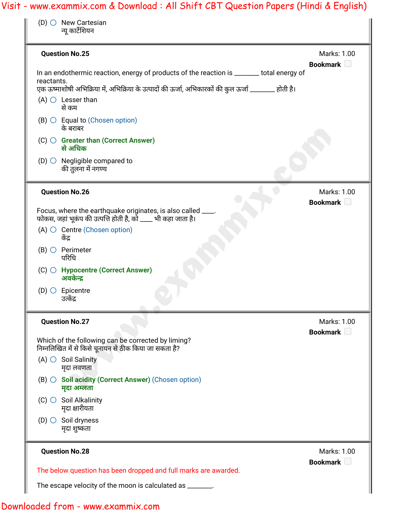| $(D)$ New Cartesian<br>न्यू कार्टेशियन                                                                                                                                                                        |                                |
|---------------------------------------------------------------------------------------------------------------------------------------------------------------------------------------------------------------|--------------------------------|
| <b>Question No.25</b>                                                                                                                                                                                         | Marks: 1.00<br>Bookmark        |
| In an endothermic reaction, energy of products of the reaction is ______ total energy of<br>reactants.<br>एक ऊष्माशोषी अभिक्रिया में, अभिक्रिया के उत्पादों की ऊर्जा, अभिकारकों की कुल ऊर्जा _______ होती है। |                                |
| $(A)$ $\bigcirc$ Lesser than<br>से कम                                                                                                                                                                         |                                |
| $(B)$ $\circ$ Equal to (Chosen option)<br>के बराबर                                                                                                                                                            |                                |
| $(C)$ $\bigcirc$ Greater than (Correct Answer)<br>से अधिक                                                                                                                                                     |                                |
| (D) $\bigcirc$ Negligible compared to<br>की तुलना में नगण्य                                                                                                                                                   |                                |
| <b>Question No.26</b>                                                                                                                                                                                         | Marks: 1.00<br>Bookmark $\Box$ |
| Focus, where the earthquake originates, is also called ____.<br>फोकस, जहां भूकंप की उत्पत्ति होती है, को ____ भी कहा जाता है।                                                                                 |                                |
| $(A)$ $\circ$ Centre (Chosen option)<br>केंद्र                                                                                                                                                                |                                |
| $(B)$ $\bigcirc$ Perimeter<br>परिधि                                                                                                                                                                           |                                |
| (C) ○ Hypocentre (Correct Answer)<br>अवकेन्द्र                                                                                                                                                                |                                |
| $(D)$ $\bigcirc$ Epicentre<br>उत्केंद्र                                                                                                                                                                       |                                |
| <b>Question No.27</b>                                                                                                                                                                                         | Marks: 1.00<br>Bookmark $\Box$ |
| Which of the following can be corrected by liming?<br>निम्नलिखित में से किसे चूनायन से ठीक किया जा सकता है?                                                                                                   |                                |
| $(A)$ $\circ$ Soil Salinity<br>मृदा लवणता                                                                                                                                                                     |                                |
| $(B)$ $\bigcirc$ Soil acidity (Correct Answer) (Chosen option)<br>मुदा अम्लता                                                                                                                                 |                                |
| $(C)$ Soil Alkalinity<br>मृदा क्षारीयता                                                                                                                                                                       |                                |
| (D) $\bigcirc$ Soil dryness<br>मृदा शुष्कता                                                                                                                                                                   |                                |
| <b>Question No.28</b>                                                                                                                                                                                         | Marks: 1.00<br>Bookmark U      |
| The below question has been dropped and full marks are awarded.                                                                                                                                               |                                |
| The escape velocity of the moon is calculated as _______.                                                                                                                                                     |                                |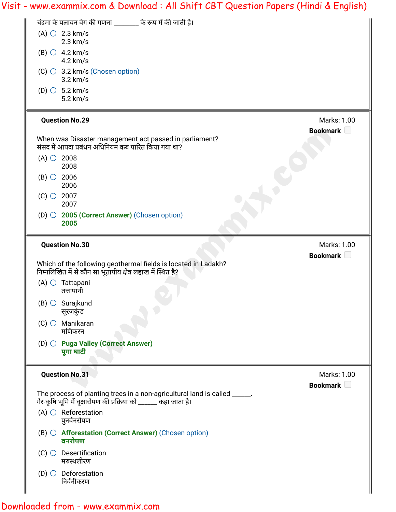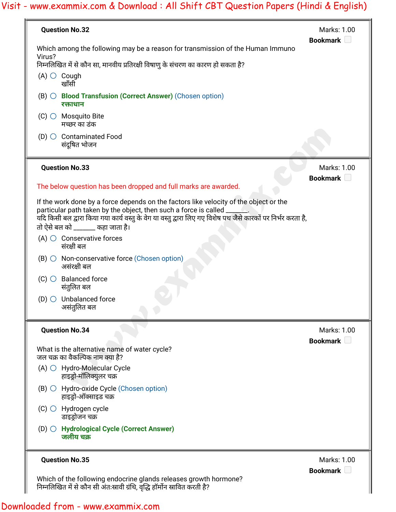| <b>Question No.32</b>                                                                                                                                                                                                                                                        | Marks: 1.00<br>Bookmark U        |
|------------------------------------------------------------------------------------------------------------------------------------------------------------------------------------------------------------------------------------------------------------------------------|----------------------------------|
| Which among the following may be a reason for transmission of the Human Immuno<br>Virus?                                                                                                                                                                                     |                                  |
| निम्नलिखित में से कौन सा, मानवीय प्रतिरक्षी विषाणु के संचरण का कारण हो सकता है?                                                                                                                                                                                              |                                  |
| $(A)$ $\bigcirc$ Cough<br>खाँसी                                                                                                                                                                                                                                              |                                  |
| (B) ○ Blood Transfusion (Correct Answer) (Chosen option)<br>रक्ताधान                                                                                                                                                                                                         |                                  |
| $(C)$ Mosquito Bite<br>मच्छर का डंक                                                                                                                                                                                                                                          |                                  |
| $(D)$ $\bigcirc$ Contaminated Food<br>संदूषित भोजन                                                                                                                                                                                                                           |                                  |
| <b>Question No.33</b>                                                                                                                                                                                                                                                        | Marks: 1.00<br>Bookmark <b>D</b> |
| The below question has been dropped and full marks are awarded.                                                                                                                                                                                                              |                                  |
| If the work done by a force depends on the factors like velocity of the object or the<br>particular path taken by the object, then such a force is called _<br>यदि किसी बल द्वारा किया गया कार्य वस्तु के वेग या वस्तु द्वारा लिए गए विशेष पथ जैसे कारकों पर निर्भर करता है, |                                  |
| तो ऐसे बल को _______ कहा जाता है।                                                                                                                                                                                                                                            |                                  |
| $(A)$ $\bigcirc$ Conservative forces<br>संरक्षी बल                                                                                                                                                                                                                           |                                  |
| $(B)$ $\bigcirc$ Non-conservative force (Chosen option)<br>असंरक्षी बल                                                                                                                                                                                                       |                                  |
| <b>Balanced force</b><br>$(C)$ $\bigcirc$<br>संतुलित बल                                                                                                                                                                                                                      |                                  |
| $(D)$ Unbalanced force<br>असंतुलित बल                                                                                                                                                                                                                                        |                                  |
| <b>Question No.34</b>                                                                                                                                                                                                                                                        | Marks: 1.00                      |
|                                                                                                                                                                                                                                                                              | Bookmark L                       |
| What is the alternative name of water cycle?<br>जल चक्र का वैकल्पिक नाम क्या है?                                                                                                                                                                                             |                                  |
| $(A)$ $\bigcirc$ Hydro-Molecular Cycle<br>हाइड्रो-मॉलिक्युलर चक्र                                                                                                                                                                                                            |                                  |
| $(B)$ $\bigcirc$ Hydro-oxide Cycle (Chosen option)<br>हाइड्रो-ऑक्साइड चक्र                                                                                                                                                                                                   |                                  |
| $(C)$ $\bigcirc$ Hydrogen cycle<br>डाइड्रोजन चक्र                                                                                                                                                                                                                            |                                  |
| (D) O Hydrological Cycle (Correct Answer)<br>जलीय चक्र                                                                                                                                                                                                                       |                                  |
| <b>Question No.35</b>                                                                                                                                                                                                                                                        | Marks: 1.00                      |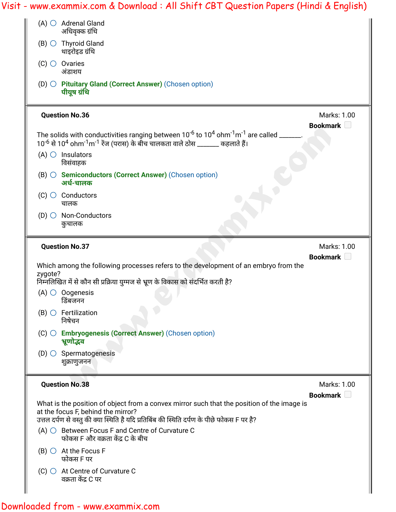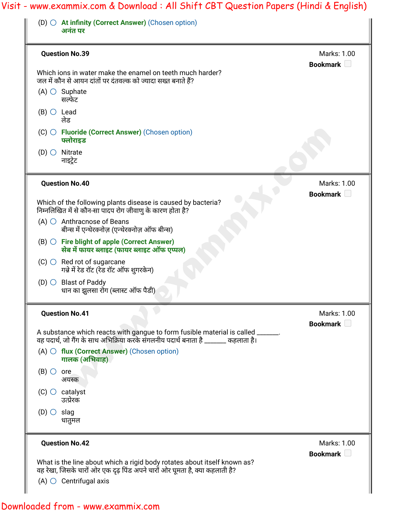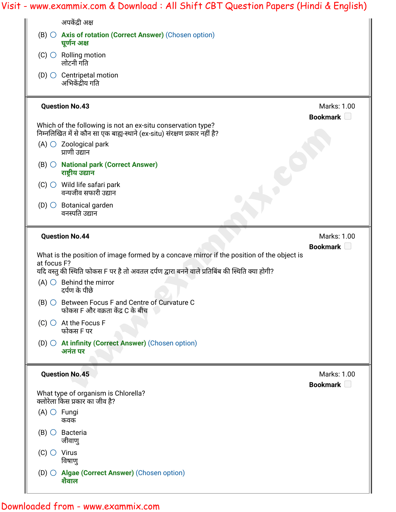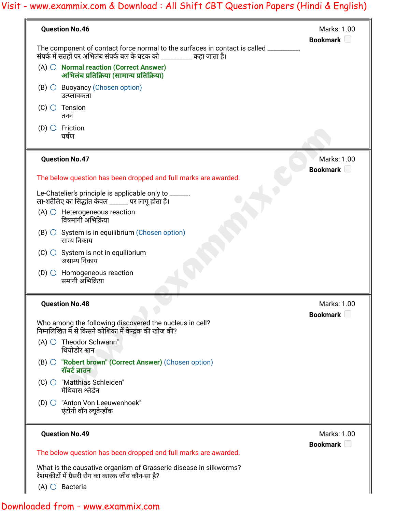| <b>Question No.46</b>                                                                                                                                          | Marks: 1.00<br>Bookmark <b>D</b> |
|----------------------------------------------------------------------------------------------------------------------------------------------------------------|----------------------------------|
| The component of contact force normal to the surfaces in contact is called _________.<br>संपर्क में सतहों पर अभिलंब संपर्क बल के घटक को _________ कहा जाता है। |                                  |
| $(A)$ $\bigcirc$ Normal reaction (Correct Answer)<br>अभिलंब प्रतिक्रिया (सामान्य प्रतिक्रिया)                                                                  |                                  |
| $(B)$ $\circ$ Buoyancy (Chosen option)<br>उत्प्लावकता                                                                                                          |                                  |
| $(C)$ $\bigcirc$ Tension<br>तनन                                                                                                                                |                                  |
| $(D)$ $\bigcirc$ Friction<br>घर्षण                                                                                                                             |                                  |
| <b>Question No.47</b>                                                                                                                                          | Marks: 1.00<br>Bookmark D        |
| The below question has been dropped and full marks are awarded.                                                                                                |                                  |
| Le-Chatelier's principle is applicable only to _____.<br>ला-शतैलिए का सिद्धांत केवल ______ पर लागू होता है।                                                    |                                  |
| $(A)$ $\bigcirc$ Heterogeneous reaction<br>विषमांगी अभिक्रिया                                                                                                  |                                  |
| $(B)$ $\circ$ System is in equilibrium (Chosen option)<br>साम्य निकाय                                                                                          |                                  |
| $(C)$ $\bigcirc$ System is not in equilibrium<br>असाम्य निकाय                                                                                                  |                                  |
| $(D)$ $\bigcirc$ Homogeneous reaction<br>समांगी अभिक्रिया                                                                                                      |                                  |
| <b>Question No.48</b>                                                                                                                                          | Marks: 1.00<br>Bookmark U        |
| Who among the following discovered the nucleus in cell?<br>निम्नलिखित में से किसने कोशिका में केन्द्रक की खोज की?                                              |                                  |
| $(A)$ $\bigcirc$ Theodor Schwann"<br>थियोडोर श्वान                                                                                                             |                                  |
| (B) ○ "Robert brown" (Correct Answer) (Chosen option)<br>रॉबर्ट ब्राउन                                                                                         |                                  |
| (C) ○ "Matthias Schleiden"<br>मैथियास श्लेडेन                                                                                                                  |                                  |
| (D) ○ "Anton Von Leeuwenhoek"<br>एंटोनी वॉन ल्यूवेन्हॉक                                                                                                        |                                  |
| <b>Question No.49</b>                                                                                                                                          | Marks: 1.00<br>Bookmark D        |
| The below question has been dropped and full marks are awarded.                                                                                                |                                  |
| What is the causative organism of Grasserie disease in silkworms?                                                                                              |                                  |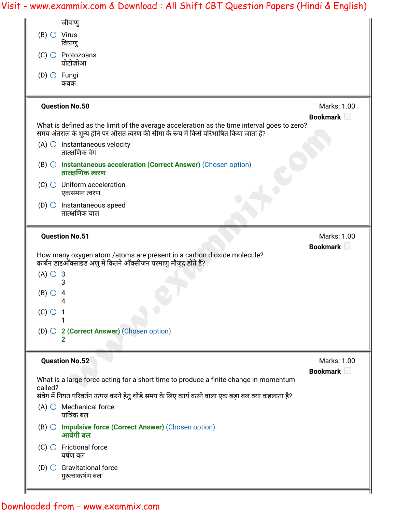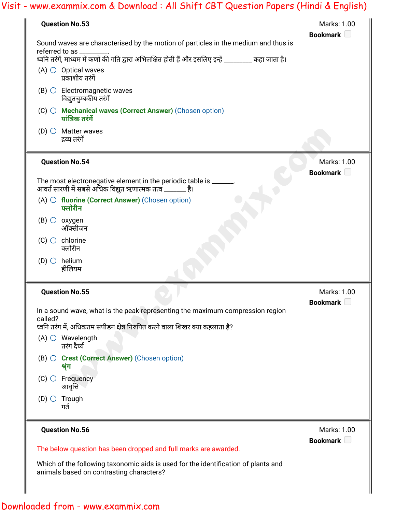| <b>Question No.53</b>                                                                                                                                     | Marks: 1.00<br>Bookmark |
|-----------------------------------------------------------------------------------------------------------------------------------------------------------|-------------------------|
| Sound waves are characterised by the motion of particles in the medium and thus is<br>referred to as                                                      |                         |
| ध्वनि तरंगें, माध्यम में कणों की गति द्वारा अभिलक्षित होती हैं और इसलिए इन्हें ________ कहा जाता है।<br>$(A)$ $\bigcirc$ Optical waves<br>प्रकाशीय तरंगें |                         |
| $(B)$ $\bigcirc$ Electromagnetic waves<br>विद्युतचुम्बकीय तरंगें                                                                                          |                         |
| (C) ○ Mechanical waves (Correct Answer) (Chosen option)<br>यांत्रिक तरंगें                                                                                |                         |
| (D) $\bigcirc$ Matter waves<br>द्रव्य तरंगें                                                                                                              |                         |
| <b>Question No.54</b>                                                                                                                                     | Marks: 1.00             |
| The most electronegative element in the periodic table is ______.<br>आवर्त सारणी में सबसे अधिक विद्युत ऋणात्मक तत्व _______ है।                           | Bookmark <b>D</b>       |
| $(A)$ $\bigcirc$ fluorine (Correct Answer) (Chosen option)<br>फ्लोरीन                                                                                     |                         |
| $(B)$ $\circ$ oxygen<br>ऑक्सीजन                                                                                                                           |                         |
| $(C)$ $\bigcirc$ chlorine<br>क्लोरीन                                                                                                                      |                         |
| $(D)$ $\bigcirc$ helium<br>हीलियम                                                                                                                         |                         |
| <b>Question No.55</b>                                                                                                                                     | Marks: 1.00             |
| In a sound wave, what is the peak representing the maximum compression region<br>called?                                                                  | Bookmark <b>D</b>       |
| ध्वनि तरंग में, अधिकतम संपीडन क्षेत्र निरुपित करने वाला शिखर क्या कहलाता है?<br>$(A)$ $\bigcirc$ Wavelength<br>तरंग दैर्घ्य                               |                         |
| (B) O Crest (Correct Answer) (Chosen option)<br>श्रृंग                                                                                                    |                         |
| $(C)$ $\bigcirc$ Frequency<br>आवृत्ति                                                                                                                     |                         |
| $(D)$ $\bigcirc$ Trough                                                                                                                                   |                         |
| गर्त                                                                                                                                                      |                         |
| <b>Question No.56</b>                                                                                                                                     | Marks: 1.00             |
| The below question has been dropped and full marks are awarded.                                                                                           | Bookmark D              |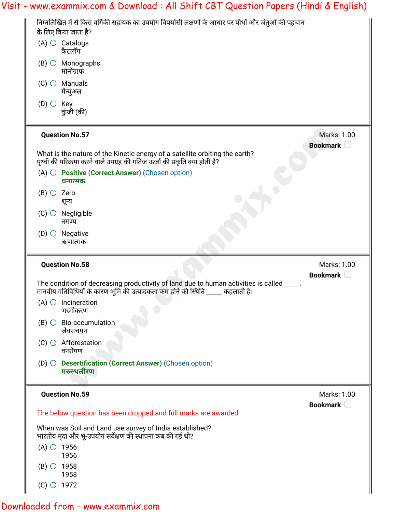|                      | Visit - www.exammix.com & Download : All Shift CBT Question Papers (Hindi & English)                                                                                           |                                  |
|----------------------|--------------------------------------------------------------------------------------------------------------------------------------------------------------------------------|----------------------------------|
|                      | निम्नलिखित में से किस वर्गिकी सहायक का उपयोग विपर्यासी लक्षणों के आधार पर पौधों और जंतुओं की पहचान<br>के लिए किया जाता है?                                                     |                                  |
|                      | $(A)$ $\bigcirc$ Catalogs<br>कैटलॉग                                                                                                                                            |                                  |
|                      | $(B)$ $\bigcirc$ Monographs<br>मोनोग्राफ                                                                                                                                       |                                  |
|                      | $(C)$ $\bigcirc$ Manuals<br>मैन्युअल                                                                                                                                           |                                  |
| $(D)$ $\bigcirc$ Key | कुंजी (की)                                                                                                                                                                     |                                  |
|                      | <b>Question No.57</b>                                                                                                                                                          | Marks: 1.00<br>Bookmark <b>D</b> |
|                      | What is the nature of the Kinetic energy of a satellite orbiting the earth?<br>पृथ्वी की परिक्रमा करने वाले उपग्रह की गतिज ऊर्जा की प्रकृति क्या होती है?                      |                                  |
|                      | $(A)$ $\bigcirc$ <b>Positive (Correct Answer)</b> (Chosen option)<br>धनात्मक                                                                                                   |                                  |
| $(B)$ $\circ$ Zero   | शून्य                                                                                                                                                                          |                                  |
|                      | $(C)$ $\bigcirc$ Negligible<br>नगण्य                                                                                                                                           |                                  |
|                      | $(D)$ $\bigcirc$ Negative<br>ऋणात्मक                                                                                                                                           |                                  |
|                      | <b>Question No.58</b>                                                                                                                                                          | Marks: 1.00<br>Bookmark U        |
|                      | The condition of decreasing productivity of land due to human activities is called _____.<br>मानवीय गतिविधियों के कारण भूमि की उत्पादकता कम होने की स्थिति __<br>__ कहलाती है। |                                  |
|                      | $(A)$ $\bigcirc$ Incineration<br>भस्मीकरण                                                                                                                                      |                                  |
|                      | $(B)$ $\bigcirc$ Bio-accumulation<br>जैवसंचयन                                                                                                                                  |                                  |
|                      |                                                                                                                                                                                |                                  |
|                      | $(C)$ $\bigcirc$ Afforestation<br>वनरोपण                                                                                                                                       |                                  |
|                      | (D) ○ Desertification (Correct Answer) (Chosen option)<br>मरुस्थलीरण                                                                                                           |                                  |
|                      | <b>Question No.59</b>                                                                                                                                                          | Bookmark <b>D</b>                |
|                      | The below question has been dropped and full marks are awarded.                                                                                                                |                                  |
|                      | When was Soil and Land use survey of India established?<br>भारतीय मृदा और भू-उपयोग सर्वेक्षण की स्थापना कब की गई थी?                                                           |                                  |
| $(A)$ $\circ$ 1956   | 1956                                                                                                                                                                           |                                  |
| $(B)$ $\circ$ 1958   | 1958                                                                                                                                                                           | Marks: 1.00                      |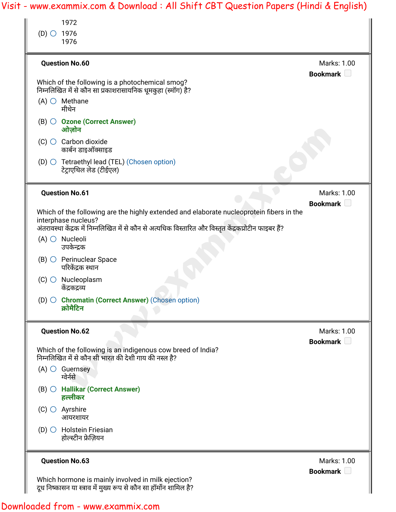| 1976                                                                                                                          |                                                                                          |
|-------------------------------------------------------------------------------------------------------------------------------|------------------------------------------------------------------------------------------|
| <b>Question No.60</b>                                                                                                         | Marks: 1.00<br>Bookmark                                                                  |
| Which of the following is a photochemical smog?<br>निम्नलिखित में से कौन सा प्रकाशरासायनिक धूमकुहा (स्मॉग) है?                |                                                                                          |
| $(A)$ $\bigcirc$ Methane<br>मीथेन                                                                                             |                                                                                          |
| (B) ○ Ozone (Correct Answer)<br>ओज़ोन                                                                                         |                                                                                          |
| $(C)$ $\bigcirc$ Carbon dioxide<br>कार्बन डाइऑक्साइड                                                                          |                                                                                          |
| (D) $\bigcirc$ Tetraethyl lead (TEL) (Chosen option)<br>टेट्राएथिल लेड (टीईएल)                                                |                                                                                          |
| <b>Question No.61</b>                                                                                                         | Marks: 1.00<br>Bookmark D                                                                |
| interphase nucleus?<br>अंतरावस्था केंद्रक में निम्नलिखित में से कौन से अत्यधिक विस्तारित और विस्तृत केंद्रकप्रोटीन फाइबर हैं? | Which of the following are the highly extended and elaborate nucleoprotein fibers in the |
| $(A)$ $\bigcirc$ Nucleoli<br>उपकेन्द्रक                                                                                       |                                                                                          |
| $(B)$ $\bigcirc$ Perinuclear Space<br>परिकेंद्रक स्थान                                                                        |                                                                                          |
| $(C)$ $\bigcirc$ Nucleoplasm<br>केंद्रकद्रव्य                                                                                 |                                                                                          |
| (D) ○ Chromatin (Correct Answer) (Chosen option)<br>क्रोमैटिन                                                                 |                                                                                          |
| <b>Question No.62</b>                                                                                                         | Marks: 1.00                                                                              |
| Which of the following is an indigenous cow breed of India?<br>निम्नलिखित में से कौन सी भारत की देशी गाय की नस्ल है?          | Bookmark D                                                                               |
| $(A)$ $\bigcirc$ Guernsey<br>ग्वेर्नसे                                                                                        |                                                                                          |
| $(B)$ $\bigcirc$ Hallikar (Correct Answer)<br>हल्लीकर                                                                         |                                                                                          |
| $(C)$ $\bigcirc$ Ayrshire<br>आयरशायर                                                                                          |                                                                                          |
|                                                                                                                               |                                                                                          |
| $(D)$ $\bigcirc$ Holstein Friesian<br>होल्स्टीन फ्रेज़ियन                                                                     |                                                                                          |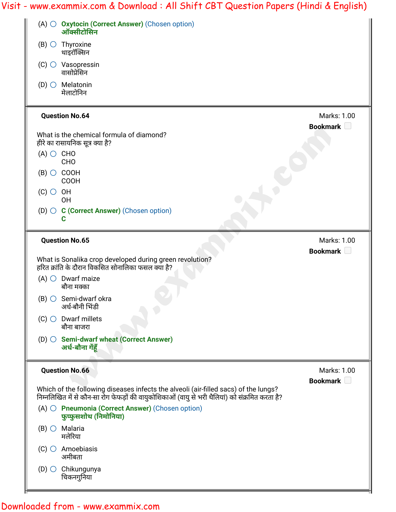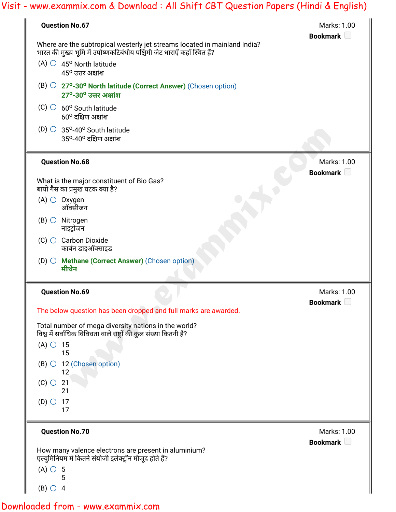| <b>Question No.67</b>                                                                                                                                 | Marks: 1.00<br>Bookmark <b>D</b> |
|-------------------------------------------------------------------------------------------------------------------------------------------------------|----------------------------------|
| Where are the subtropical westerly jet streams located in mainland India?<br>भारत की मुख्य भूमि में उपोष्णकटिबंधीय पश्चिमी जेट धाराएँ कहाँ स्थित हैं? |                                  |
| $(A)$ $\circ$ 45 <sup>o</sup> North latitude<br>$45^{\rm o}$ उत्तर अक्षांश                                                                            |                                  |
| $(B)$ $\bigcirc$ 27 <sup>o</sup> -30 <sup>o</sup> North latitude (Correct Answer) (Chosen option)<br>$27^{\circ}$ -30 $^{\circ}$ उत्तर अक्षांश        |                                  |
| $(C)$ $\circ$ 60° South latitude<br>$60^{\circ}$ दक्षिण अक्षांश                                                                                       |                                  |
| $(D)$ 35 <sup>o</sup> -40 <sup>o</sup> South latitude<br>$35^{\rm o}$ -40 $^{\rm o}$ दक्षिण अक्षांश                                                   |                                  |
| <b>Question No.68</b>                                                                                                                                 | Marks: 1.00                      |
| What is the major constituent of Bio Gas?<br>बायो गैस का प्रमुख घटक क्या है?                                                                          | Bookmark <b>D</b>                |
| $(A)$ $\bigcirc$ Oxygen<br>ऑक्सीजन                                                                                                                    |                                  |
| $(B)$ $\bigcirc$ Nitrogen<br>नाइट्रोजन                                                                                                                |                                  |
| $(C)$ $\bigcirc$ Carbon Dioxide<br>कार्बन डाइऑक्साइड                                                                                                  |                                  |
| (D) ○ Methane (Correct Answer) (Chosen option)<br>मीथेन                                                                                               |                                  |
| <b>Question No.69</b>                                                                                                                                 | Marks: 1.00                      |
| The below question has been dropped and full marks are awarded.                                                                                       | Bookmark <sup>1</sup>            |
| Total number of mega diversity nations in the world?<br>विश्व में सर्वाधिक विविधता वाले राष्ट्रों की कुल संख्या कितनी है?                             |                                  |
| $(A)$ $\circ$ 15<br>15                                                                                                                                |                                  |
| $(B)$ $\circ$ 12 (Chosen option)<br>12                                                                                                                |                                  |
| $(C)$ $\bigcirc$ 21<br>21                                                                                                                             |                                  |
| $(D)$ $\circ$ 17<br>17                                                                                                                                |                                  |
| <b>Question No.70</b>                                                                                                                                 | Marks: 1.00                      |
| How many valence electrons are present in aluminium?<br>एल्युमिनियम में कितने संयोजी इलेक्ट्रॉन मौजूद होते हैं?                                       | Bookmark $\Box$                  |
| $(A)$ $\circ$ 5                                                                                                                                       |                                  |
| $(B)$ $\circ$ 4                                                                                                                                       |                                  |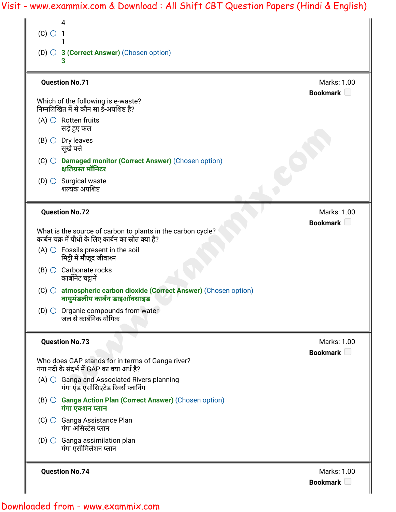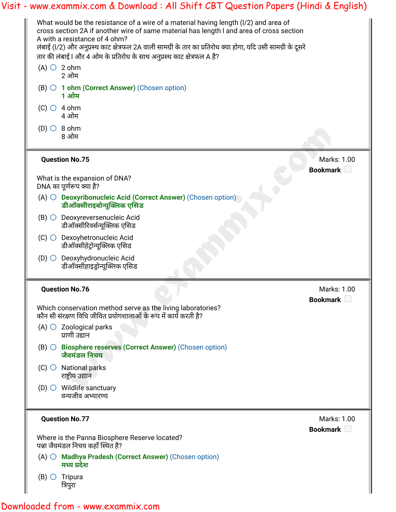|                                                                                                                                                                                                                                                                                                                                                                                                               | Visit - www.exammix.com & Download : All Shift CBT Question Papers (Hindi & English) |
|---------------------------------------------------------------------------------------------------------------------------------------------------------------------------------------------------------------------------------------------------------------------------------------------------------------------------------------------------------------------------------------------------------------|--------------------------------------------------------------------------------------|
| What would be the resistance of a wire of a material having length (I/2) and area of<br>cross section 2A if another wire of same material has length I and area of cross section<br>A with a resistance of 4 ohm?<br>लंबाई (l/2) और अनुप्रस्थ काट क्षेत्रफल 2A वाली सामग्री के तार का प्रतिरोध क्या होगा, यदि उसी सामग्री के दूसरे<br>तार की लंबाई l और 4 ओम के प्रतिरोध के साथ अनुप्रस्थ काट क्षेत्रफल A है? |                                                                                      |
| $(A)$ $\bigcirc$ 2 ohm<br>2 ओम                                                                                                                                                                                                                                                                                                                                                                                |                                                                                      |
| $(B)$ $\bigcirc$ 1 ohm (Correct Answer) (Chosen option)<br>1 ओम                                                                                                                                                                                                                                                                                                                                               |                                                                                      |
| $(C)$ $\bigcirc$ 4 ohm<br>4 ओम                                                                                                                                                                                                                                                                                                                                                                                |                                                                                      |
| $(D)$ $\circ$ 8 ohm<br>8 ओम                                                                                                                                                                                                                                                                                                                                                                                   |                                                                                      |
| <b>Question No.75</b>                                                                                                                                                                                                                                                                                                                                                                                         | Marks: 1.00<br>Bookmark $\Box$                                                       |
| What is the expansion of DNA?<br>DNA का पूर्णरूप क्या है?                                                                                                                                                                                                                                                                                                                                                     |                                                                                      |
| (A) O Deoxyribonucleic Acid (Correct Answer) (Chosen option)<br>डीऑक्सीराइबोन्यूक्लिक एसिड                                                                                                                                                                                                                                                                                                                    |                                                                                      |
| (B) O Deoxyreversenucleic Acid<br>डीऑक्सीरिवर्सन्यूक्लिक एसिड                                                                                                                                                                                                                                                                                                                                                 |                                                                                      |
| Dexoyhetronucleic Acid<br>$(C)$ $\bigcirc$<br>डीऑक्सीहेट्रोन्यूक्लिक एसिड                                                                                                                                                                                                                                                                                                                                     |                                                                                      |
| (D) $\bigcirc$ Deoxyhydronucleic Acid<br>डीऑक्सीहाइड्रोन्यूक्लिक एसिड                                                                                                                                                                                                                                                                                                                                         |                                                                                      |
| <b>Question No.76</b>                                                                                                                                                                                                                                                                                                                                                                                         | Marks: 1.00<br>Bookmark                                                              |
| Which conservation method serve as the living laboratories?<br>कौन सी संरक्षण विधि जीवित प्रयोगशालाओं के रूप में कार्य करती है?                                                                                                                                                                                                                                                                               |                                                                                      |
| $(A)$ $\bigcirc$ Zoological parks<br>प्राणी उद्यान                                                                                                                                                                                                                                                                                                                                                            |                                                                                      |
| $(B)$ $\bigcirc$ Biosphere reserves (Correct Answer) (Chosen option)<br>जैवमंडल निचय                                                                                                                                                                                                                                                                                                                          |                                                                                      |
| $(C)$ $\bigcirc$ National parks<br>राष्ट्रीय उद्यान                                                                                                                                                                                                                                                                                                                                                           |                                                                                      |
| $(D)$ Wildlife sanctuary<br>वन्यजीव अभ्यारण्य                                                                                                                                                                                                                                                                                                                                                                 |                                                                                      |
| <b>Question No.77</b>                                                                                                                                                                                                                                                                                                                                                                                         | Marks: 1.00<br><b>Bookmark</b>                                                       |
| Where is the Panna Biosphere Reserve located?<br>पन्ना जैवमंडल निचय कहाँ स्थित है?                                                                                                                                                                                                                                                                                                                            |                                                                                      |
| (A) O Madhya Pradesh (Correct Answer) (Chosen option)                                                                                                                                                                                                                                                                                                                                                         |                                                                                      |
| मध्य प्रदेश                                                                                                                                                                                                                                                                                                                                                                                                   |                                                                                      |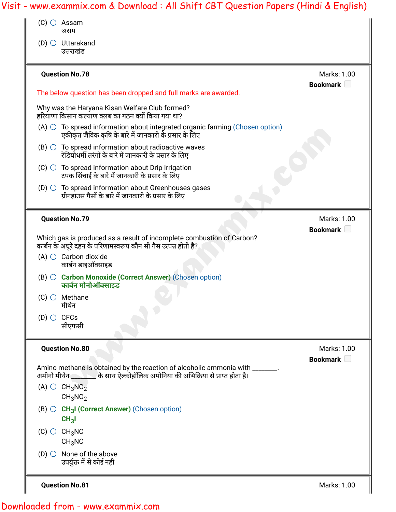| Visit - www.exammix.com & Download : All Shift CBT Question Papers (Hindi & English)                                                                            |                                  |
|-----------------------------------------------------------------------------------------------------------------------------------------------------------------|----------------------------------|
| $(C)$ $\bigcirc$ Assam<br>असम                                                                                                                                   |                                  |
| $(D)$ $\bigcirc$ Uttarakand<br>उत्तराखंड                                                                                                                        |                                  |
| <b>Question No.78</b>                                                                                                                                           | Marks: 1.00<br>Bookmark U        |
| The below question has been dropped and full marks are awarded.                                                                                                 |                                  |
| Why was the Haryana Kisan Welfare Club formed?<br>हरियाणा किसान कल्याण क्लब का गठन क्यों किया गया था?                                                           |                                  |
| $(A)$ $\bigcirc$ To spread information about integrated organic farming (Chosen option)<br>एकीकृत जैविक कृषि के बारे में जानकारी के प्रसार के लिए               |                                  |
| $(B)$ $\circlearrowright$ To spread information about radioactive waves<br>रेडियोधर्मी तरंगों के बारे में जानकारी के प्रसार के लिए                              |                                  |
| $(C)$ $\bigcirc$ To spread information about Drip Irrigation<br>टपक सिंचाई के बारे में जानकारी के प्रसार के लिए                                                 |                                  |
| (D) $\bigcirc$ To spread information about Greenhouses gases<br>ग्रीनहाउस गैसों के बारे में जानकारी के प्रसार के लिए                                            |                                  |
| <b>Question No.79</b>                                                                                                                                           | Marks: 1.00<br>Bookmark <b>D</b> |
| Which gas is produced as a result of incomplete combustion of Carbon?<br>कार्बन के अधूरे दहन के परिणामस्वरूप कौन सी गैस उत्पन्न होती है?                        |                                  |
| $(A)$ $\bigcirc$ Carbon dioxide<br>कार्बन डाइऑक्साइड                                                                                                            |                                  |
| (B) O Carbon Monoxide (Correct Answer) (Chosen option)<br>कार्बन मोनोऑक्साइड                                                                                    |                                  |
| $(C)$ $\bigcirc$ Methane<br>मीथेन                                                                                                                               |                                  |
| $(D)$ $\bigcirc$ CFCs<br>सीएफसी                                                                                                                                 |                                  |
| <b>Question No.80</b>                                                                                                                                           | Marks: 1.00<br>Bookmark <b>D</b> |
| Amino methane is obtained by the reaction of alcoholic ammonia with _______.<br>अमीनो मीथेन ________ के साथ ऐल्कोहॉलिक अमोनिया की अभिक्रिया से प्राप्त होता है। |                                  |
| (A) $\bigcirc$ CH <sub>3</sub> NO <sub>2</sub><br>CH <sub>3</sub> NO <sub>2</sub>                                                                               |                                  |
| (B) $\bigcirc$ CH <sub>3</sub> I (Correct Answer) (Chosen option)<br>CH <sub>3</sub> I                                                                          |                                  |
| $(C)$ $\bigcirc$ $CH_3NC$<br>CH <sub>3</sub> NC                                                                                                                 |                                  |
| $(D)$ $\bigcirc$ None of the above<br>उपर्युक्त में से कोई नहीं                                                                                                 |                                  |
| <b>Question No.81</b>                                                                                                                                           | Marks: 1.00                      |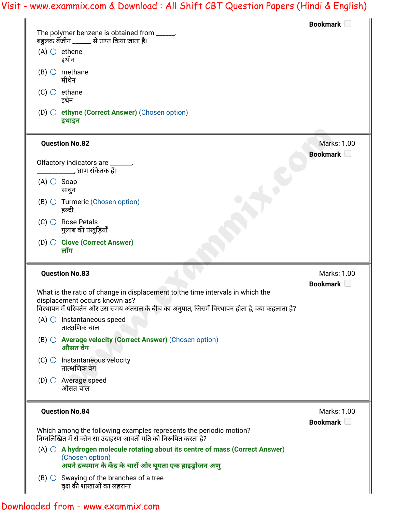| The polymer benzene is obtained from ______.                                                                                                                              | Bookmark $\Box$                |
|---------------------------------------------------------------------------------------------------------------------------------------------------------------------------|--------------------------------|
| बहुलक बेंजीन ______ से प्राप्त किया जाता है।                                                                                                                              |                                |
| $(A)$ $\bigcirc$ ethene<br>इथीन                                                                                                                                           |                                |
| $(B)$ $\bigcirc$ methane<br>मीथेन                                                                                                                                         |                                |
| $(C)$ $\bigcirc$ ethane<br>इथेन                                                                                                                                           |                                |
| (D) $\bigcirc$ ethyne (Correct Answer) (Chosen option)<br>इथाइन                                                                                                           |                                |
| <b>Question No.82</b>                                                                                                                                                     | <b>Marks: 1.00</b>             |
| Olfactory indicators are _______.<br>___________, घ्राण संकेतक हैं।                                                                                                       | Bookmark <b>D</b>              |
| $(A)$ $\circ$ Soap<br>साबुन                                                                                                                                               |                                |
| $(B)$ $\bigcirc$ Turmeric (Chosen option)<br>हल्दी                                                                                                                        |                                |
| $(C)$ $\bigcirc$ Rose Petals<br>गुलाब की पंखुड़ियाँ                                                                                                                       |                                |
| (D) ○ Clove (Correct Answer)<br>लौंग                                                                                                                                      |                                |
| <b>Question No.83</b>                                                                                                                                                     | Marks: 1.00                    |
|                                                                                                                                                                           | Bookmark <b>D</b>              |
|                                                                                                                                                                           |                                |
| What is the ratio of change in displacement to the time intervals in which the                                                                                            |                                |
| displacement occurs known as?<br>विस्थापन में परिवर्तन और उस समय अंतराल के बीच का अनुपात, जिसमें विस्थापन होता है, क्या कहलाता है?                                        |                                |
| $(A)$ $\bigcirc$ Instantaneous speed<br>तात्क्षणिक चाल                                                                                                                    |                                |
| $(B)$ $\bigcirc$ Average velocity (Correct Answer) (Chosen option)<br>औसत वेग                                                                                             |                                |
| $(C)$ Instantaneous velocity<br>तात्क्षणिक वेग                                                                                                                            |                                |
| $(D)$ $\bigcirc$ Average speed<br>औसत चाल                                                                                                                                 |                                |
| <b>Question No.84</b>                                                                                                                                                     |                                |
| Which among the following examples represents the periodic motion?<br>निम्नलिखित में से कौन सा उदाहरण आवर्ती गति को निरूपित करता है?                                      | Marks: 1.00<br>Bookmark $\Box$ |
| $(A)$ $\bigcirc$ A hydrogen molecule rotating about its centre of mass (Correct Answer)<br>(Chosen option)<br>अपने द्रव्यमान के केंद्र के चारों ओर घूमता एक हाइड्रोजन अणु |                                |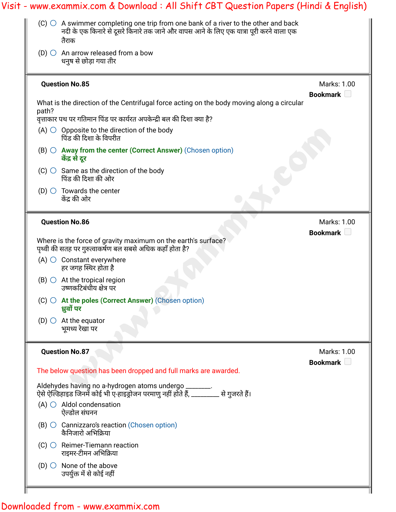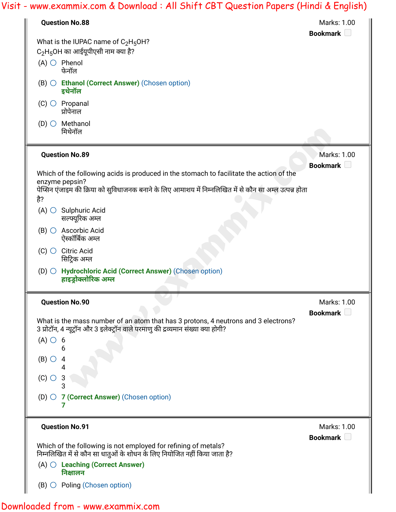| <b>Question No.88</b>                                                                                                                                                   | Marks: 1.00                    |
|-------------------------------------------------------------------------------------------------------------------------------------------------------------------------|--------------------------------|
| What is the IUPAC name of $C_2H_5OH$ ?                                                                                                                                  | Bookmark                       |
| $C_2H_5OH$ का आईयूपीएसी नाम क्या है?                                                                                                                                    |                                |
| $(A)$ $\bigcirc$ Phenol<br>फेनॉल                                                                                                                                        |                                |
| (B) O Ethanol (Correct Answer) (Chosen option)<br>इथेनॉल                                                                                                                |                                |
| $(C)$ $\bigcirc$ Propanal<br>प्रोपेनाल                                                                                                                                  |                                |
| $(D)$ $\bigcirc$ Methanol<br>मिथेनॉल                                                                                                                                    |                                |
| <b>Question No.89</b>                                                                                                                                                   | Marks: 1.00<br>Bookmark $\Box$ |
| Which of the following acids is produced in the stomach to facilitate the action of the                                                                                 |                                |
| enzyme pepsin?<br>पेप्सिन एंजाइम की क्रिया को सुविधाजनक बनाने के लिए आमाशय में निम्नलिखित में से कौन सा अम्ल उत्पन्न होता                                               |                                |
| है?                                                                                                                                                                     |                                |
| $(A)$ $\bigcirc$ Sulphuric Acid<br>सल्फ्यूरिक अम्ल                                                                                                                      |                                |
| Ascorbic Acid<br>$(B)$ $\bigcirc$<br>ऐस्कॉर्बिक अम्ल                                                                                                                    |                                |
| $(C)$ $\bigcirc$ Citric Acid<br>सिट्रिक अम्ल                                                                                                                            |                                |
| (D) ○ Hydrochloric Acid (Correct Answer) (Chosen option)<br>हाइड्रोक्लोरिक अम्ल                                                                                         |                                |
| <b>Question No.90</b>                                                                                                                                                   | Marks: 1.00<br>Bookmark D      |
| What is the mass number of an atom that has 3 protons, 4 neutrons and 3 electrons?<br>3 प्रोटॉन, 4 न्यूट्रॉन और 3 इलेक्ट्रॉन वाले परमाणु की द्रव्यमान संख्या क्या होगी? |                                |
| $(A)$ $\circ$ 6                                                                                                                                                         |                                |
| 6<br>$(B)$ $\bigcirc$<br>4                                                                                                                                              |                                |
| 4                                                                                                                                                                       |                                |
| $(C)$ $\bigcirc$<br>3                                                                                                                                                   |                                |
| (D) $\bigcirc$ 7 (Correct Answer) (Chosen option)                                                                                                                       |                                |
| <b>Question No.91</b>                                                                                                                                                   | Marks: 1.00                    |
|                                                                                                                                                                         | Bookmark D                     |
| Which of the following is not employed for refining of metals?<br>निम्नलिखित में से कौन सा धातुओं के शोधन के लिए नियोजित नहीं किया जाता है?                             |                                |
|                                                                                                                                                                         |                                |
| $(A)$ $\bigcirc$ Leaching (Correct Answer)<br>निक्षालन                                                                                                                  |                                |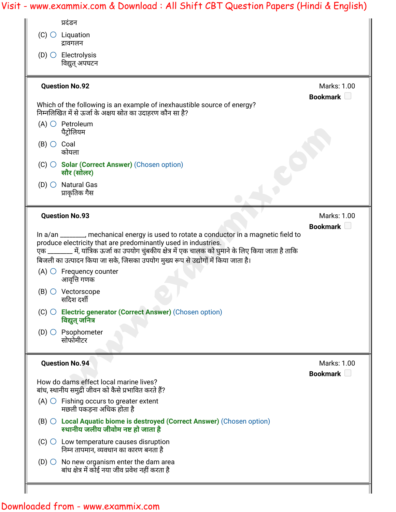![](_page_26_Picture_1.jpeg)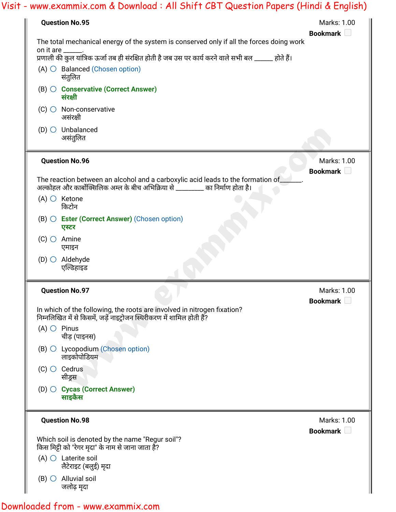|  | Visit - www.exammix.com & Download : All Shift CBT Question Papers (Hindi & English)                                                                                                                             |                                        |  |  |
|--|------------------------------------------------------------------------------------------------------------------------------------------------------------------------------------------------------------------|----------------------------------------|--|--|
|  | <b>Question No.95</b>                                                                                                                                                                                            | Marks: 1.00<br>Bookmark                |  |  |
|  | The total mechanical energy of the system is conserved only if all the forces doing work<br>on it are _<br>प्रणाली की कुल यांत्रिक ऊर्जा तब ही संरक्षित होती है जब उस पर कार्य करने वाले सभी बल ______ होते हैं। |                                        |  |  |
|  | $(A)$ $\bigcirc$ Balanced (Chosen option)<br>संतुलित                                                                                                                                                             |                                        |  |  |
|  | (B) O Conservative (Correct Answer)<br>संरक्षी                                                                                                                                                                   |                                        |  |  |
|  | $(C)$ $\bigcirc$ Non-conservative<br>असंरक्षी                                                                                                                                                                    |                                        |  |  |
|  | $(D)$ $\bigcirc$ Unbalanced<br>असंतुलित                                                                                                                                                                          |                                        |  |  |
|  | <b>Question No.96</b>                                                                                                                                                                                            | Marks: 1.00<br>Bookmark <b>D</b>       |  |  |
|  | The reaction between an alcohol and a carboxylic acid leads to the formation of_<br>अल्कोहल और कार्बोक्सिलिक अम्ल के बीच अभिक्रिया से _________ का निर्माण होता है।                                              |                                        |  |  |
|  | $(A)$ $\bigcirc$ Ketone<br>किटोन                                                                                                                                                                                 |                                        |  |  |
|  | $(B)$ $\bigcirc$ <b>Ester (Correct Answer)</b> (Chosen option)<br>एस्टर                                                                                                                                          |                                        |  |  |
|  | $(C)$ $\bigcirc$ Amine<br>एमाइन                                                                                                                                                                                  |                                        |  |  |
|  | $(D)$ $\bigcirc$ Aldehyde<br>एल्डिहाइड                                                                                                                                                                           |                                        |  |  |
|  | <b>Question No.97</b>                                                                                                                                                                                            | Marks: 1.00<br>Bookmark <sup>[1]</sup> |  |  |
|  | In which of the following, the roots are involved in nitrogen fixation?<br>निम्नलिखित में से किसमें, जड़ें नाइट्रोजन स्थिरीकरण में शामिल होती हैं?                                                               |                                        |  |  |
|  | $(A)$ $\bigcirc$ Pinus<br>चीड़ (पाइनस)                                                                                                                                                                           |                                        |  |  |
|  | (B) O Lycopodium (Chosen option)<br>लाइकोपोडियम                                                                                                                                                                  |                                        |  |  |
|  | $(C)$ $\bigcirc$ Cedrus<br>सीड्रस                                                                                                                                                                                |                                        |  |  |
|  | (D) Cycas (Correct Answer)<br>साइकैस                                                                                                                                                                             |                                        |  |  |
|  | <b>Question No.98</b>                                                                                                                                                                                            | Marks: 1.00                            |  |  |
|  | Which soil is denoted by the name "Regur soil"?<br>किस मिट्टी को "रेगर मृदा" के नाम से जाना जाता है?                                                                                                             | Bookmark                               |  |  |
|  | $(A)$ $\bigcirc$ Laterite soil<br>लैटेराइट (बलुई) मृदा                                                                                                                                                           |                                        |  |  |
|  | $(B)$ $\bigcirc$ Alluvial soil<br>जलोढ़ मृदा                                                                                                                                                                     |                                        |  |  |
|  |                                                                                                                                                                                                                  |                                        |  |  |